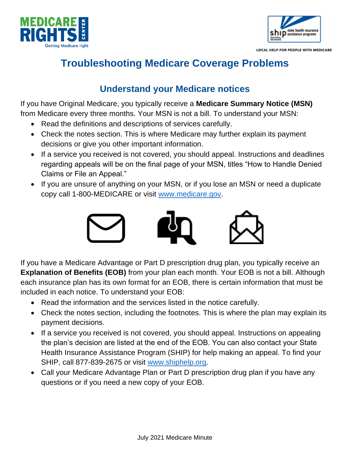



LOCAL HELP FOR PEOPLE WITH MEDICARE

# **Troubleshooting Medicare Coverage Problems**

### **Understand your Medicare notices**

If you have Original Medicare, you typically receive a **Medicare Summary Notice (MSN)** from Medicare every three months. Your MSN is not a bill. To understand your MSN:

- Read the definitions and descriptions of services carefully.
- Check the notes section. This is where Medicare may further explain its payment decisions or give you other important information.
- If a service you received is not covered, you should appeal. Instructions and deadlines regarding appeals will be on the final page of your MSN, titles "How to Handle Denied Claims or File an Appeal."
- If you are unsure of anything on your MSN, or if you lose an MSN or need a duplicate copy call 1-800-MEDICARE or visit [www.medicare.gov.](http://www.medicare.gov/)



If you have a Medicare Advantage or Part D prescription drug plan, you typically receive an **Explanation of Benefits (EOB)** from your plan each month. Your EOB is not a bill. Although each insurance plan has its own format for an EOB, there is certain information that must be included in each notice. To understand your EOB:

- Read the information and the services listed in the notice carefully.
- Check the notes section, including the footnotes. This is where the plan may explain its payment decisions.
- If a service you received is not covered, you should appeal. Instructions on appealing the plan's decision are listed at the end of the EOB. You can also contact your State Health Insurance Assistance Program (SHIP) for help making an appeal. To find your SHIP, call 877-839-2675 or visit [www.shiphelp.org.](http://www.shiphelp.org/)
- Call your Medicare Advantage Plan or Part D prescription drug plan if you have any questions or if you need a new copy of your EOB.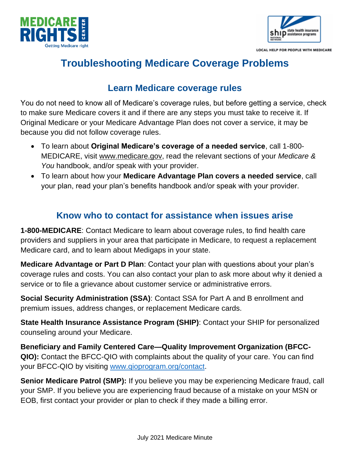



LOCAL HELP FOR PEOPLE WITH MEDICARE

## **Troubleshooting Medicare Coverage Problems**

#### **Learn Medicare coverage rules**

You do not need to know all of Medicare's coverage rules, but before getting a service, check to make sure Medicare covers it and if there are any steps you must take to receive it. If Original Medicare or your Medicare Advantage Plan does not cover a service, it may be because you did not follow coverage rules.

- To learn about **Original Medicare's coverage of a needed service**, call 1-800- MEDICARE, visit [www.medicare.gov,](http://www.medicare.gov/) read the relevant sections of your *Medicare & You* handbook, and/or speak with your provider.
- To learn about how your **Medicare Advantage Plan covers a needed service**, call your plan, read your plan's benefits handbook and/or speak with your provider.

#### **Know who to contact for assistance when issues arise**

**1-800-MEDICARE**: Contact Medicare to learn about coverage rules, to find health care providers and suppliers in your area that participate in Medicare, to request a replacement Medicare card, and to learn about Medigaps in your state.

**Medicare Advantage or Part D Plan**: Contact your plan with questions about your plan's coverage rules and costs. You can also contact your plan to ask more about why it denied a service or to file a grievance about customer service or administrative errors.

**Social Security Administration (SSA)**: Contact SSA for Part A and B enrollment and premium issues, address changes, or replacement Medicare cards.

**State Health Insurance Assistance Program (SHIP)**: Contact your SHIP for personalized counseling around your Medicare.

**Beneficiary and Family Centered Care—Quality Improvement Organization (BFCC-QIO):** Contact the BFCC-QIO with complaints about the quality of your care. You can find your BFCC-QIO by visiting [www.qioprogram.org/contact.](http://www.qioprogram.org/contact)

**Senior Medicare Patrol (SMP):** If you believe you may be experiencing Medicare fraud, call your SMP. If you believe you are experiencing fraud because of a mistake on your MSN or EOB, first contact your provider or plan to check if they made a billing error.